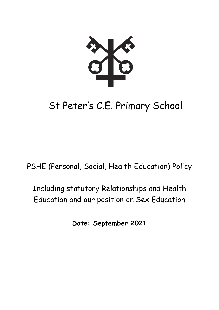# St Peter's C.E. Primary School

PSHE (Personal, Social, Health Education) Policy

Including statutory Relationships and Health Education and our position on Sex Education

**Date: September 2021**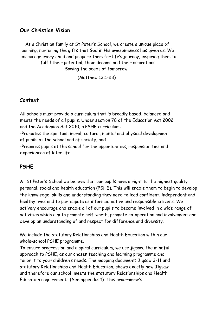#### **Our Christian Vision**

As a Christian family at St Peter's School, we create a unique place of learning, nurturing the gifts that God in His awesomeness has given us. We encourage every child and prepare them for life's journey, inspiring them to fulfil their potential, their dreams and their aspirations. Sowing the seeds of tomorrow.

(Matthew 13:1-23)

## **Context**

All schools must provide a curriculum that is broadly based, balanced and meets the needs of all pupils. Under section 78 of the Education Act 2002 and the Academies Act 2010, a PSHE curriculum:

-Promotes the spiritual, moral, cultural, mental and physical development of pupils at the school and of society, and

-Prepares pupils at the school for the opportunities, responsibilities and experiences of later life.

# **PSHE**

At St Peter's School we believe that our pupils have a right to the highest quality personal, social and health education (PSHE). This will enable them to begin to develop the knowledge, skills and understanding they need to lead confident, independent and healthy lives and to participate as informed active and responsible citizens. We actively encourage and enable all of our pupils to become involved in a wide range of activities which aim to promote self-worth, promote co-operation and involvement and develop an understanding of and respect for difference and diversity.

We include the statutory Relationships and Health Education within our whole-school PSHE programme.

To ensure progression and a spiral curriculum, we use jigsaw, the mindful approach to PSHE, as our chosen teaching and learning programme and tailor it to your children's needs. The mapping document: Jigsaw 3-11 and statutory Relationships and Health Education, shows exactly how Jigsaw and therefore our school, meets the statutory Relationships and Health Education requirements (See appendix 1). This programme's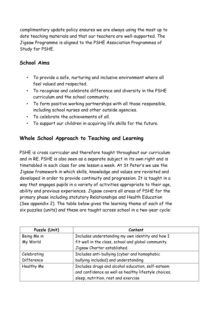complimentary update policy ensures we are always using the most up to date teaching materials and that our teachers are well-supported. The Jigsaw Programme is aligned to the PSHE Association Programmes of Study for PSHE.

# **School Aims**

- To provide a safe, nurturing and inclusive environment where all feel valued and respected.
- To recognise and celebrate difference and diversity in the PSHE curriculum and the school community.
- To form positive working partnerships with all those responsible, including school nurses and other outside agencies.
- To celebrate the achievements of all.
- To support our children in acquiring life skills for the future.

# **Whole School Approach to Teaching and Learning**

PSHE is cross curricular and therefore taught throughout our curriculum and in RE. PSHE is also seen as a separate subject in its own right and is timetabled in each class for one lesson a week. At St Peter's we use the Jigsaw framework in which skills, knowledge and values are revisited and developed in order to provide continuity and progression. It is taught in a way that engages pupils in a variety of activities appropriate to their age, ability and previous experiences. Jigsaw covers all areas of PSHE for the primary phase including statutory Relationships and Health Education (See appendix 2). The table below gives the learning theme of each of the six puzzles (units) and these are taught across school in a two-year cycle:

| Puzzle (Unit) | Content                                              |
|---------------|------------------------------------------------------|
| Being Me in   | Includes understanding my own identity and how I     |
| My World      | fit well in the class, school and global community.  |
|               | Jigsaw Charter established.                          |
| Celebrating   | Includes anti-bullying (cyber and homophobic         |
| Difference    | bullying included) and understanding                 |
| Healthy Me    | Includes drugs and alcohol education, self-esteem    |
|               | and confidence as well as healthy lifestyle choices, |
|               | sleep, nutrition, rest and exercise                  |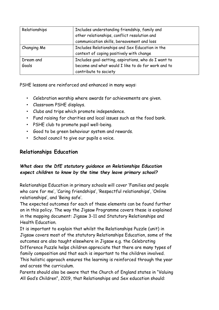| Relationships      | Includes understanding friendship, family and<br>other relationships, conflict resolution and<br>communication skills, bereavement and loss |
|--------------------|---------------------------------------------------------------------------------------------------------------------------------------------|
| Changing Me        | Includes Relationships and Sex Education in the<br>context of coping positively with change                                                 |
| Dream and<br>Goals | Includes goal-setting, aspirations, who do I want to<br>become and what would I like to do for work and to<br>contribute to society         |

PSHE lessons are reinforced and enhanced in many ways:

- Celebration worship where awards for achievements are given.
- Classroom PSHE displays.
- Clubs and trips which promote independence.
- Fund raising for charities and local issues such as the food bank.
- PSHE club to promote pupil well-being.
- Good to be green behaviour system and rewards.
- School council to give our pupils a voice.

# **Relationships Education**

#### *What does the DfE statutory guidance on Relationships Education expect children to know by the time they leave primary school?*

Relationships Education in primary schools will cover 'Families and people who care for me', 'Caring friendships', 'Respectful relationships', 'Online relationships', and 'Being safe'.

The expected outcomes for each of these elements can be found further on in this policy. The way the Jigsaw Programme covers these is explained in the mapping document: Jigsaw 3-11 and Statutory Relationships and Health Education.

It is important to explain that whilst the Relationships Puzzle (unit) in Jigsaw covers most of the statutory Relationships Education, some of the outcomes are also taught elsewhere in Jigsaw e.g. the Celebrating Difference Puzzle helps children appreciate that there are many types of family composition and that each is important to the children involved. This holistic approach ensures the learning is reinforced through the year and across the curriculum.

Parents should also be aware that the Church of England states in "Valuing All God's Children", 2019, that Relationships and Sex education should: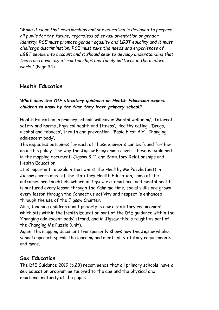"*Make it clear that relationships and sex education is designed to prepare all pupils for the future, regardless of sexual orientation or gender identity. RSE must promote gender equality and LGBT equality and it must challenge discrimination. RSE must take the needs and experiences of LGBT people into account and it should seek to develop understanding that there are a variety of relationships and family patterns in the modern world*." (Page 34)

# **Health Education**

#### *What does the DfE statutory guidance on Health Education expect children to know by the time they leave primary school?*

Health Education in primary schools will cover 'Mental wellbeing', 'Internet safety and harms', Physical health and fitness', Healthy eating', 'Drugs, alcohol and tobacco', 'Health and prevention', 'Basic First Aid', 'Changing adolescent body'.

The expected outcomes for each of these elements can be found further on in this policy. The way the Jigsaw Programme covers these is explained in the mapping document: Jigsaw 3-11 and Statutory Relationships and Health Education.

It is important to explain that whilst the Healthy Me Puzzle (unit) in Jigsaw covers most of the statutory Health Education, some of the outcomes are taught elsewhere in Jigsaw e.g. emotional and mental health is nurtured every lesson through the Calm me time, social skills are grown every lesson through the Connect us activity and respect is enhanced through the use of the Jigsaw Charter.

Also, teaching children about puberty is now a statutory requirement which sits within the Health Education part of the DfE guidance within the 'Changing adolescent body' strand, and in Jigsaw this is taught as part of the Changing Me Puzzle (unit).

Again, the mapping document transparantly shows how the Jigsaw wholeschool approach spirals the learning and meets all statutory requirements and more.

## **Sex Education**

The DfE Guidance 2019 (p.23) recommends that all primary schools 'have a sex education programme tailored to the age and the physical and emotional maturity of the pupils.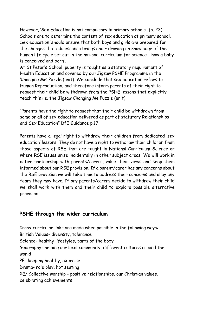However, 'Sex Education is not compulsory in primary schools'. (p. 23) Schools are to determine the content of sex education at primary school. Sex education 'should ensure that both boys and girls are prepared for the changes that adolescence brings and – drawing on knowledge of the human life cycle set out in the national curriculum for science - how a baby is conceived and born'.

At St Peter's School, puberty is taught as a statutory requirement of Health Education and covered by our Jigsaw PSHE Programme in the 'Changing Me' Puzzle (unit). We conclude that sex education refers to Human Reproduction, and therefore inform parents of their right to request their child be withdrawn from the PSHE lessons that explicitly teach this i.e. the Jigsaw Changing Me Puzzle (unit).

"Parents have the right to request that their child be withdrawn from some or all of sex education delivered as part of statutory Relationships and Sex Education" DfE Guidance p.17

Parents have a legal right to withdraw their children from dedicated 'sex education' lessons. They do not have a right to withdraw their children from those aspects of RSE that are taught in National Curriculum Science or where RSE issues arise incidentally in other subject areas. We will work in active partnership with parents/carers, value their views and keep them informed about our RSE provision. If a parent/carer has any concerns about the RSE provision we will take time to address their concerns and allay any fears they may have. If any parents/carers decide to withdraw their child we shall work with them and their child to explore possible alternative provision.

#### **PSHE through the wider curriculum**

Cross-curricular links are made when possible in the following ways: British Values- diversity, tolerance Science- healthy lifestyles, parts of the body Geography- helping our local community, different cultures around the world PE- keeping healthy, exercise Drama- role play, hot seating RE/ Collective worship - positive relationships, our Christian values, celebrating achievements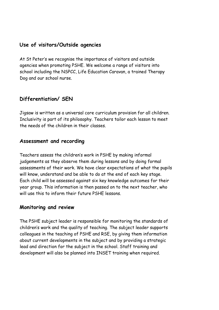#### **Use of visitors/Outside agencies**

At St Peter's we recognise the importance of visitors and outside agencies when promoting PSHE. We welcome a range of visitors into school including the NSPCC, Life Education Caravan, a trained Therapy Dog and our school nurse.

# **Differentiation/ SEN**

Jigsaw is written as a universal core curriculum provision for all children. Inclusivity is part of its philosophy. Teachers tailor each lesson to meet the needs of the children in their classes.

#### **Assessment and recording**

Teachers assess the children's work in PSHE by making informal judgements as they observe them during lessons and by doing formal assessments of their work. We have clear expectations of what the pupils will know, understand and be able to do at the end of each key stage. Each child will be assessed against six key knowledge outcomes for their year group. This information is then passed on to the next teacher, who will use this to inform their future PSHE lessons.

#### **Monitoring and review**

The PSHE subject leader is responsible for monitoring the standards of children's work and the quality of teaching. The subject leader supports colleagues in the teaching of PSHE and RSE, by giving them information about current developments in the subject and by providing a strategic lead and direction for the subject in the school. Staff training and development will also be planned into INSET training when required.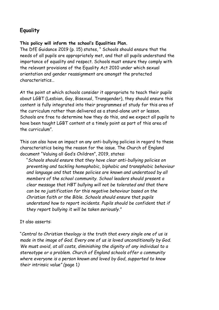# **Equality**

#### **This policy will inform the school's Equalities Plan.**

The DfE Guidance 2019 (p. 15) states, " Schools should ensure that the needs of all pupils are appropriately met, and that all pupils understand the importance of equality and respect. Schools must ensure they comply with the relevant provisions of the Equality Act 2010 under which sexual orientation and gender reassignment are amongst the protected characteristics…

At the point at which schools consider it appropriate to teach their pupils about LGBT (Lesbian, Gay, Bisexual, Transgender), they should ensure this content is fully integrated into their programmes of study for this area of the curriculum rather than delivered as a stand-alone unit or lesson. Schools are free to determine how they do this, and we expect all pupils to have been taught LGBT content at a timely point as part of this area of the curriculum".

This can also have an impact on any anti-bullying policies in regard to these characteristics being the reason for the issue. The Church of England document "Valuing all God's Children", 2019, states:

"*Schools should ensure that they have clear anti-bullying policies on preventing and tackling homophobic, biphobic and transphobic behaviour and language and that these policies are known and understood by all members of the school community. School leaders should present a clear message that HBT bullying will not be tolerated and that there can be no justification for this negative behaviour based on the Christian faith or the Bible. Schools should ensure that pupils understand how to report incidents. Pupils should be confident that if they report bullying it will be taken seriously."*

#### It also asserts:

"*Central to Christian theology is the truth that every single one of us is made in the image of God. Every one of us is loved unconditionally by God. We must avoid, at all costs, diminishing the dignity of any individual to a stereotype or a problem. Church of England schools offer a community where everyone is a person known and loved by God, supported to know their intrinsic value" (*page 1*)*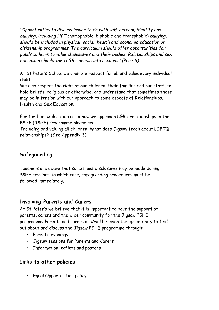"*Opportunities to discuss issues to do with self-esteem, identity and bullying, including HBT (*homophobic, biphobic and transphobic) *bullying, should be included in physical, social, health and economic education or citizenship programmes. The curriculum should offer opportunities for pupils to learn to value themselves and their bodies. Relationships and sex education should take LGBT people into account." (*Page 6*)*

At St Peter's School we promote respect for all and value every individual child.

We also respect the right of our children, their families and our staff, to hold beliefs, religious or otherwise, and understand that sometimes these may be in tension with our approach to some aspects of Relationships, Health and Sex Education.

For further explanation as to how we approach LGBT relationships in the PSHE (RSHE) Programme please see:

'Including and valuing all children. What does Jigsaw teach about LGBTQ relationships?' (See Appendix 3)

# **Safeguarding**

Teachers are aware that sometimes disclosures may be made during PSHE sessions; in which case, safeguarding procedures must be followed immediately.

# **Involving Parents and Carers**

At St Peter's we believe that it is important to have the support of parents, carers and the wider community for the Jigsaw PSHE programme. Parents and carers are/will be given the opportunity to find out about and discuss the Jigsaw PSHE programme through:

- Parent's evenings
- Jigsaw sessions for Parents and Carers
- Information leaflets and posters

# **Links to other policies**

• Equal Opportunities policy